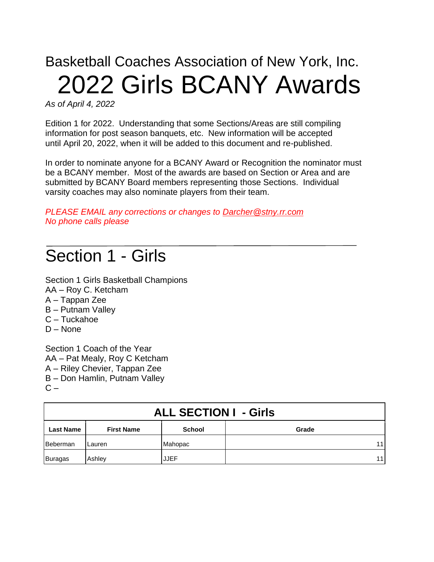# Basketball Coaches Association of New York, Inc. 2022 Girls BCANY Awards

*As of April 4, 2022*

Edition 1 for 2022. Understanding that some Sections/Areas are still compiling information for post season banquets, etc. New information will be accepted until April 20, 2022, when it will be added to this document and re-published.

In order to nominate anyone for a BCANY Award or Recognition the nominator must be a BCANY member. Most of the awards are based on Section or Area and are submitted by BCANY Board members representing those Sections. Individual varsity coaches may also nominate players from their team.

*PLEASE EMAIL any corrections or changes to [Darcher@stny.rr.com](mailto:Darcher@stny.rr.com) No phone calls please*

## Section 1 - Girls

Section 1 Girls Basketball Champions AA – Roy C. Ketcham A – Tappan Zee B – Putnam Valley C – Tuckahoe D – None

Section 1 Coach of the Year AA – Pat Mealy, Roy C Ketcham A – Riley Chevier, Tappan Zee B – Don Hamlin, Putnam Valley  $C -$ 

| <b>ALL SECTION I - Girls</b> |                   |               |       |
|------------------------------|-------------------|---------------|-------|
| <b>Last Name</b>             | <b>First Name</b> | <b>School</b> | Grade |
| Beberman                     | Lauren            | Mahopac       | 11    |
| <b>Buragas</b>               | Ashley            | <b>JJEF</b>   | 11    |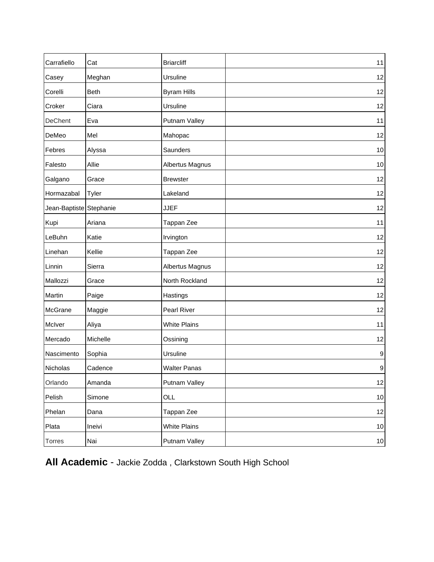| Carrafiello             | Cat         | <b>Briarcliff</b>   | 11               |
|-------------------------|-------------|---------------------|------------------|
| Casey                   | Meghan      | Ursuline            | 12               |
| Corelli                 | <b>Beth</b> | <b>Byram Hills</b>  | 12               |
| Croker                  | Ciara       | Ursuline            | 12               |
| DeChent                 | Eva         | Putnam Valley       | 11               |
| DeMeo                   | Mel         | Mahopac             | 12               |
| Febres                  | Alyssa      | Saunders            | $10$             |
| Falesto                 | Allie       | Albertus Magnus     | $10$             |
| Galgano                 | Grace       | <b>Brewster</b>     | 12               |
| Hormazabal              | Tyler       | Lakeland            | 12               |
| Jean-Baptiste Stephanie |             | <b>JJEF</b>         | 12               |
| Kupi                    | Ariana      | Tappan Zee          | 11               |
| LeBuhn                  | Katie       | Irvington           | 12               |
| Linehan                 | Kellie      | Tappan Zee          | 12               |
| Linnin                  | Sierra      | Albertus Magnus     | 12               |
| Mallozzi                | Grace       | North Rockland      | 12               |
| Martin                  | Paige       | Hastings            | 12               |
| McGrane                 | Maggie      | Pearl River         | 12               |
| McIver                  | Aliya       | <b>White Plains</b> | 11               |
| Mercado                 | Michelle    | Ossining            | 12               |
| Nascimento              | Sophia      | Ursuline            | $\boldsymbol{9}$ |
| Nicholas                | Cadence     | <b>Walter Panas</b> | $\boldsymbol{9}$ |
| Orlando                 | Amanda      | Putnam Valley       | 12               |
| Pelish                  | Simone      | OLL                 | $10$             |
| Phelan                  | Dana        | Tappan Zee          | 12               |
| Plata                   | Ineivi      | <b>White Plains</b> | $10$             |
| Torres                  | Nai         | Putnam Valley       | $10$             |

**All Academic** - Jackie Zodda , Clarkstown South High School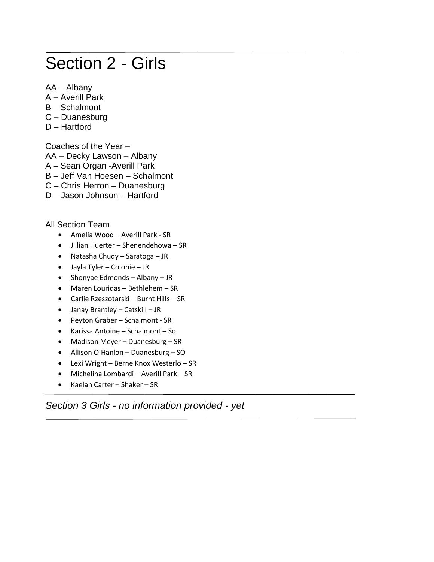## Section 2 - Girls

- AA Albany
- A Averill Park
- B Schalmont
- C Duanesburg
- D Hartford

Coaches of the Year –

- AA Decky Lawson Albany
- A Sean Organ -Averill Park
- B Jeff Van Hoesen Schalmont
- C Chris Herron Duanesburg
- D Jason Johnson Hartford

All Section Team

- Amelia Wood Averill Park SR
- Jillian Huerter Shenendehowa SR
- Natasha Chudy Saratoga JR
- Jayla Tyler Colonie JR
- Shonyae Edmonds Albany JR
- Maren Louridas Bethlehem SR
- Carlie Rzeszotarski Burnt Hills SR
- Janay Brantley Catskill JR
- Peyton Graber Schalmont SR
- Karissa Antoine Schalmont So
- Madison Meyer Duanesburg SR
- Allison O'Hanlon Duanesburg SO
- Lexi Wright Berne Knox Westerlo SR
- Michelina Lombardi Averill Park SR
- Kaelah Carter Shaker SR

*Section 3 Girls - no information provided - yet*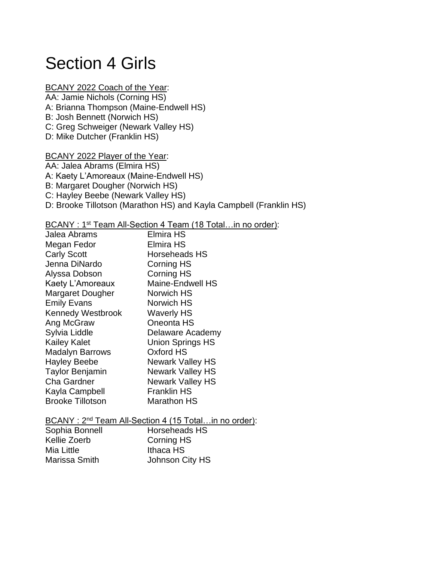## Section 4 Girls

#### BCANY 2022 Coach of the Year:

- AA: Jamie Nichols (Corning HS) A: Brianna Thompson (Maine-Endwell HS) B: Josh Bennett (Norwich HS)
- C: Greg Schweiger (Newark Valley HS)
- D: Mike Dutcher (Franklin HS)

#### BCANY 2022 Player of the Year:

AA: Jalea Abrams (Elmira HS)

A: Kaety L'Amoreaux (Maine-Endwell HS)

- B: Margaret Dougher (Norwich HS)
- C: Hayley Beebe (Newark Valley HS)
- D: Brooke Tillotson (Marathon HS) and Kayla Campbell (Franklin HS)

#### BCANY : 1<sup>st</sup> Team All-Section 4 Team (18 Total...in no order):

| Jalea Abrams             | <b>Elmira HS</b>        |
|--------------------------|-------------------------|
| Megan Fedor              | <b>Elmira HS</b>        |
| <b>Carly Scott</b>       | <b>Horseheads HS</b>    |
| Jenna DiNardo            | Corning HS              |
| Alyssa Dobson            | <b>Corning HS</b>       |
| Kaety L'Amoreaux         | <b>Maine-Endwell HS</b> |
| Margaret Dougher         | Norwich HS              |
| <b>Emily Evans</b>       | Norwich HS              |
| <b>Kennedy Westbrook</b> | <b>Waverly HS</b>       |
| Ang McGraw               | Oneonta HS              |
| Sylvia Liddle            | Delaware Academy        |
| <b>Kailey Kalet</b>      | <b>Union Springs HS</b> |
| <b>Madalyn Barrows</b>   | Oxford HS               |
| <b>Hayley Beebe</b>      | <b>Newark Valley HS</b> |
| <b>Taylor Benjamin</b>   | <b>Newark Valley HS</b> |
| <b>Cha Gardner</b>       | <b>Newark Valley HS</b> |
| Kayla Campbell           | <b>Franklin HS</b>      |
| <b>Brooke Tillotson</b>  | <b>Marathon HS</b>      |
|                          |                         |

|                | BCANY: 2 <sup>nd</sup> Team All-Section 4 (15 Totalin no order): |
|----------------|------------------------------------------------------------------|
| Sophia Bonnell | Horseheads HS                                                    |
| Kellie Zoerb   | Corning HS                                                       |
| Mia Little     | Ithaca HS                                                        |
| Marissa Smith  | Johnson City HS                                                  |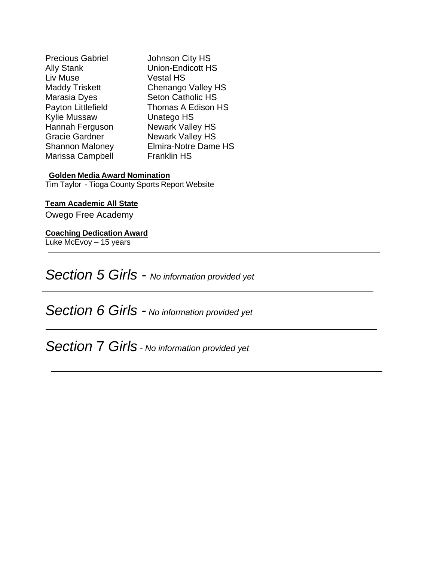| <b>Precious Gabriel</b> | Johnson City HS             |
|-------------------------|-----------------------------|
| <b>Ally Stank</b>       | <b>Union-Endicott HS</b>    |
| Liv Muse                | <b>Vestal HS</b>            |
| <b>Maddy Triskett</b>   | Chenango Valley HS          |
| Marasia Dyes            | <b>Seton Catholic HS</b>    |
| Payton Littlefield      | Thomas A Edison HS          |
| <b>Kylie Mussaw</b>     | Unatego HS                  |
| Hannah Ferguson         | Newark Valley HS            |
| <b>Gracie Gardner</b>   | <b>Newark Valley HS</b>     |
| <b>Shannon Maloney</b>  | <b>Elmira-Notre Dame HS</b> |
| Marissa Campbell        | <b>Franklin HS</b>          |
|                         |                             |

#### **Golden Media Award Nomination**

Tim Taylor - Tioga County Sports Report Website

#### **Team Academic All State**

Owego Free Academy

#### **Coaching Dedication Award**

Luke McEvoy – 15 years

*Section 5 Girls - No information provided yet*

*Section 6 Girls - No information provided yet*

*Section* 7 *Girls - No information provided yet*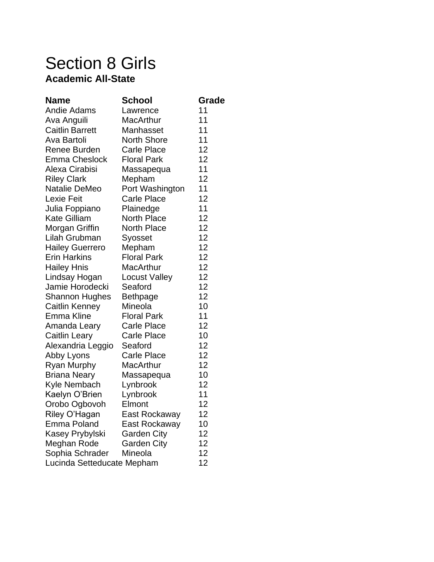## Section 8 Girls **Academic All-State**

| <b>Name</b>                | <b>School</b>        | Grade |
|----------------------------|----------------------|-------|
| <b>Andie Adams</b>         | Lawrence             | 11    |
| Ava Anguili                | MacArthur            | 11    |
| <b>Caitlin Barrett</b>     | Manhasset            | 11    |
| Ava Bartoli                | <b>North Shore</b>   | 11    |
| Renee Burden               | <b>Carle Place</b>   | 12    |
| <b>Emma Cheslock</b>       | <b>Floral Park</b>   | 12    |
| Alexa Cirabisi             | Massapequa           | 11    |
| <b>Riley Clark</b>         | Mepham               | 12    |
| Natalie DeMeo              | Port Washington      | 11    |
| <b>Lexie Feit</b>          | <b>Carle Place</b>   | 12    |
| Julia Foppiano             | Plainedge            | 11    |
| <b>Kate Gilliam</b>        | North Place          | 12    |
| Morgan Griffin             | <b>North Place</b>   | 12    |
| Lilah Grubman              | Syosset              | 12    |
| <b>Hailey Guerrero</b>     | Mepham               | 12    |
| <b>Erin Harkins</b>        | <b>Floral Park</b>   | 12    |
| <b>Hailey Hnis</b>         | <b>MacArthur</b>     | 12    |
| Lindsay Hogan              | <b>Locust Valley</b> | 12    |
| Jamie Horodecki            | Seaford              | 12    |
| <b>Shannon Hughes</b>      | <b>Bethpage</b>      | 12    |
| Caitlin Kenney             | Mineola              | 10    |
| Emma Kline                 | <b>Floral Park</b>   | 11    |
| Amanda Leary               | <b>Carle Place</b>   | 12    |
| Caitlin Leary              | <b>Carle Place</b>   | 10    |
| Alexandria Leggio          | Seaford              | 12    |
| Abby Lyons                 | <b>Carle Place</b>   | 12    |
| Ryan Murphy                | MacArthur            | 12    |
| <b>Briana Neary</b>        | Massapequa           | 10    |
| Kyle Nembach               | Lynbrook             | 12    |
| Kaelyn O'Brien             | Lynbrook             | 11    |
| Orobo Ogbovoh              | Elmont               | 12    |
| Riley O'Hagan              | East Rockaway        | 12    |
| <b>Emma Poland</b>         | East Rockaway        | 10    |
| Kasey Prybylski            | <b>Garden City</b>   | 12    |
| Meghan Rode                | <b>Garden City</b>   | 12    |
| Sophia Schrader            | Mineola              | 12    |
| Lucinda Setteducate Mepham |                      | 12    |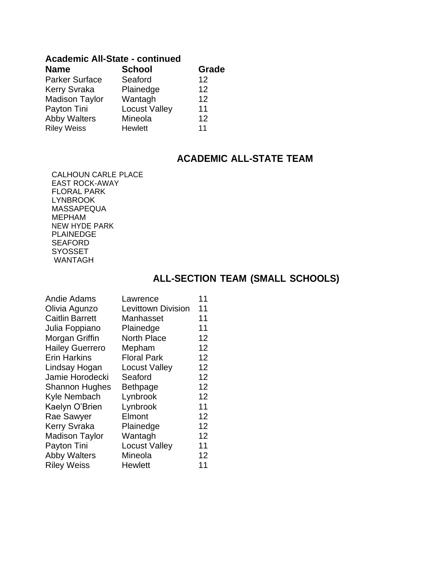#### **Academic All-State - continued**

| <b>Name</b>           | <b>School</b>        | Grade |
|-----------------------|----------------------|-------|
| <b>Parker Surface</b> | Seaford              | 12    |
| <b>Kerry Svraka</b>   | Plainedge            | 12    |
| <b>Madison Taylor</b> | Wantagh              | 12    |
| Payton Tini           | <b>Locust Valley</b> | 11    |
| <b>Abby Walters</b>   | Mineola              | 12    |
| <b>Riley Weiss</b>    | <b>Hewlett</b>       | 11    |

### **ACADEMIC ALL-STATE TEAM**

CALHOUN CARLE PLACE EAST ROCK-AWAY FLORAL PARK LYNBROOK MASSAPEQUA MEPHAM NEW HYDE PARK PLAINEDGE **SEAFORD** SYOSSET WANTAGH

### **ALL-SECTION TEAM (SMALL SCHOOLS)**

| <b>Andie Adams</b>     | Lawrence                  | 11 |
|------------------------|---------------------------|----|
| Olivia Agunzo          | <b>Levittown Division</b> | 11 |
| <b>Caitlin Barrett</b> | Manhasset                 | 11 |
| Julia Foppiano         | Plainedge                 | 11 |
| Morgan Griffin         | <b>North Place</b>        | 12 |
| <b>Hailey Guerrero</b> | Mepham                    | 12 |
| <b>Erin Harkins</b>    | <b>Floral Park</b>        | 12 |
| Lindsay Hogan          | <b>Locust Valley</b>      | 12 |
| Jamie Horodecki        | Seaford                   | 12 |
| <b>Shannon Hughes</b>  | <b>Bethpage</b>           | 12 |
| Kyle Nembach           | Lynbrook                  | 12 |
| Kaelyn O'Brien         | Lynbrook                  | 11 |
| Rae Sawyer             | Elmont                    | 12 |
| <b>Kerry Svraka</b>    | Plainedge                 | 12 |
| <b>Madison Taylor</b>  | Wantagh                   | 12 |
| Payton Tini            | <b>Locust Valley</b>      | 11 |
| <b>Abby Walters</b>    | Mineola                   | 12 |
| <b>Riley Weiss</b>     | <b>Hewlett</b>            | 11 |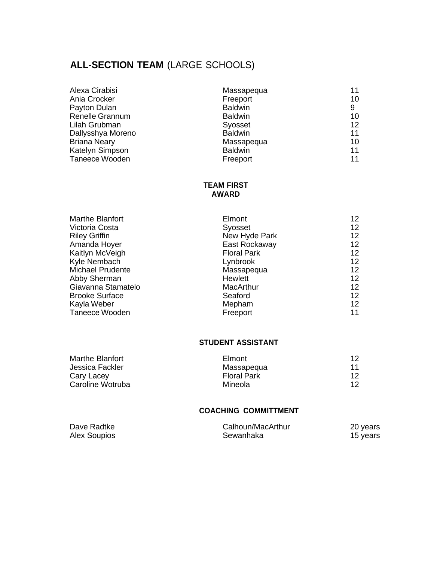### **ALL-SECTION TEAM** (LARGE SCHOOLS)

| Alexa Cirabisi         | Massapequa     | 11 |
|------------------------|----------------|----|
| Ania Crocker           | Freeport       | 10 |
| Payton Dulan           | <b>Baldwin</b> | 9  |
| <b>Renelle Grannum</b> | <b>Baldwin</b> | 10 |
| Lilah Grubman          | Syosset        | 12 |
| Dallysshya Moreno      | <b>Baldwin</b> | 11 |
| <b>Briana Neary</b>    | Massapequa     | 10 |
| Katelyn Simpson        | <b>Baldwin</b> | 11 |
| Taneece Wooden         | Freeport       | 11 |

#### **TEAM FIRST AWARD**

| <b>Marthe Blanfort</b>  | Elmont             | $12 \,$ |
|-------------------------|--------------------|---------|
| Victoria Costa          | Syosset            | 12      |
| <b>Riley Griffin</b>    | New Hyde Park      | 12      |
| Amanda Hoyer            | East Rockaway      | 12      |
| Kaitlyn McVeigh         | <b>Floral Park</b> | $12 \,$ |
| Kyle Nembach            | Lynbrook           | 12      |
| <b>Michael Prudente</b> | Massapegua         | 12      |
| Abby Sherman            | Hewlett            | 12      |
| Giavanna Stamatelo      | MacArthur          | 12      |
| <b>Brooke Surface</b>   | Seaford            | 12      |
| Kayla Weber             | Mepham             | 12      |
| Taneece Wooden          | Freeport           | 11      |

#### **STUDENT ASSISTANT**

| Marthe Blanfort  | Elmont             | -12 |
|------------------|--------------------|-----|
| Jessica Fackler  | Massapegua         | 11  |
| Cary Lacey       | <b>Floral Park</b> | 12  |
| Caroline Wotruba | Mineola            | 12  |

#### **COACHING COMMITTMENT**

| Dave Radtke  | Calhoun/MacArthur | 20 years |
|--------------|-------------------|----------|
| Alex Soupios | Sewanhaka         | 15 years |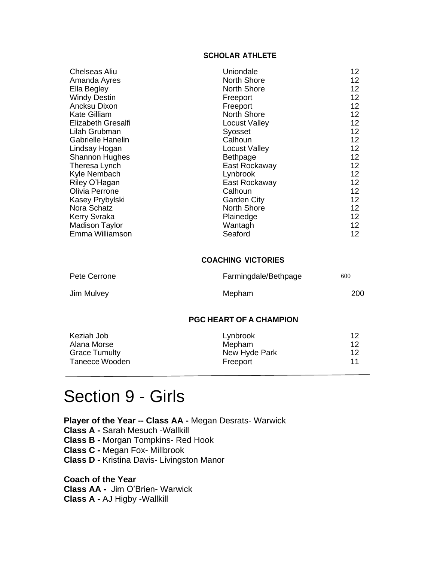#### **SCHOLAR ATHLETE**

| Chelseas Aliu         | Uniondale          | 12                |
|-----------------------|--------------------|-------------------|
| Amanda Ayres          | <b>North Shore</b> | 12                |
| Ella Begley           | <b>North Shore</b> | $12 \overline{ }$ |
| <b>Windy Destin</b>   | Freeport           | 12                |
| Ancksu Dixon          | Freeport           | 12                |
| <b>Kate Gilliam</b>   | <b>North Shore</b> | $12 \overline{ }$ |
| Elizabeth Gresalfi    | Locust Valley      | 12                |
| Lilah Grubman         | Syosset            | 12                |
| Gabrielle Hanelin     | Calhoun            | $12 \overline{ }$ |
| Lindsay Hogan         | Locust Valley      | $12 \overline{ }$ |
| <b>Shannon Hughes</b> | <b>Bethpage</b>    | 12                |
| Theresa Lynch         | East Rockaway      | 12                |
| Kyle Nembach          | Lynbrook           | $12 \overline{ }$ |
| Riley O'Hagan         | East Rockaway      | 12                |
| Olivia Perrone        | Calhoun            | 12                |
| Kasey Prybylski       | <b>Garden City</b> | $12 \overline{ }$ |
| Nora Schatz           | <b>North Shore</b> | 12                |
| <b>Kerry Svraka</b>   | Plainedge          | $12 \overline{ }$ |
| <b>Madison Taylor</b> | Wantagh            | 12                |
| Emma Williamson       | Seaford            | 12                |

#### **COACHING VICTORIES**

| Pete Cerrone | Farmingdale/Bethpage | 600 |
|--------------|----------------------|-----|
| Jim Mulvey   | Mepham               | 200 |

#### **PGC HEART OF A CHAMPION**

| Keziah Job           | Lynbrook      | 12  |
|----------------------|---------------|-----|
| Alana Morse          | Mepham        | -12 |
| <b>Grace Tumulty</b> | New Hyde Park | 12  |
| Taneece Wooden       | Freeport      | 11  |

## Section 9 - Girls

**Player of the Year -- Class AA -** Megan Desrats- Warwick **Class A -** Sarah Mesuch -Wallkill **Class B -** Morgan Tompkins- Red Hook **Class C -** Megan Fox- Millbrook **Class D -** Kristina Davis- Livingston Manor

**Coach of the Year Class AA -** Jim O'Brien- Warwick **Class A -** AJ Higby -Wallkill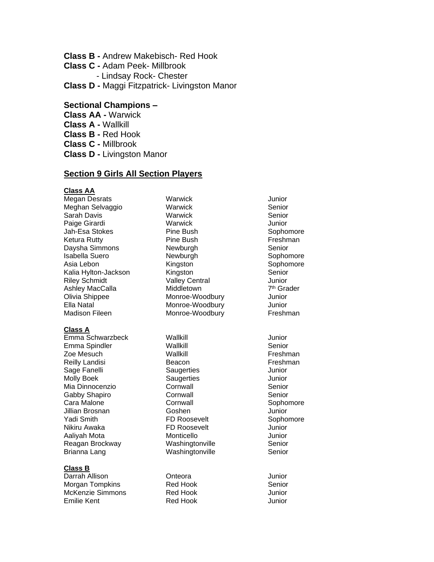**Class B -** Andrew Makebisch- Red Hook

- **Class C -** Adam Peek- Millbrook
	- Lindsay Rock- Chester

**Class D -** Maggi Fitzpatrick- Livingston Manor

#### **Sectional Champions –**

- **Class AA -** Warwick
- **Class A -** Wallkill
- **Class B -** Red Hook
- **Class C -** Millbrook
- **Class D -** Livingston Manor

#### **Section 9 Girls All Section Players**

#### **Class AA**

Megan Desrats **Warwick** Warwick **Negan Desrats** Meghan Selvaggio **Warwick Warwick** Senior Sarah Davis **Marwick** Senior Paige Girardi **Warwick Warwick Warwick Warwick** Jah-Esa Stokes Pine Bush Sophomore Ketura Rutty **Pine Bush Preshman** Daysha Simmons **Newburgh** Newburgh Senior Isabella Suero **Newburgh** Newburgh Sophomore Asia Lebon **Kingston** Kingston Sophomore Kalia Hylton-Jackson Kingston Senior Riley Schmidt **Valley Central** Junior Ashley MacCalla Middletown 7 Ella Natal **Monroe-Woodbury** Junior Madison Fileen Monroe-Woodbury Freshman

#### **Class A**

Emma Schwarzbeck Wallkill **Wallet Walls** View Munior Emma Spindler Mallkill Number of Wallkill Senior Zoe Mesuch **Mallkill** Newsletter Wallkill **Freshman** Reilly Landisi **Beacon** Beacon **Freshman** Sage Fanelli Saugerties Saugerties Junior Molly Boek Saugerties Junior<br>Mia Dinnocenzio Cornwall Senior Mia Dinnocenzio Cornwall Senior Gabby Shapiro **Cornwall** Cornwall Senior Cara Malone Cornwall Sophomore Jillian Brosnan Goshen Junior Yadi Smith **FD Roosevelt** Sophomore Nikiru Awaka **FD Roosevelt** Junior Aaliyah Mota **Monticello** Monticello Monticello Junior Reagan Brockway **Washingtonville** Senior Brianna Lang **Washingtonville** Senior

#### **Class B**

Darrah Allison Onteora Junior Morgan Tompkins McKenzie Simmons **Red Hook** McKenzie Simmons Emilie Kent **Red Hook CONFIDENT** CONFIDENTIES

Monroe-Woodbury Junior

7<sup>th</sup> Grader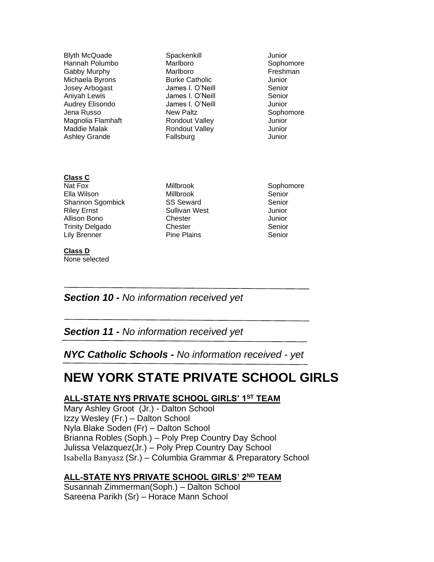| <b>Blyth McQuade</b><br>Hannah Polumbo<br>Gabby Murphy<br>Michaela Byrons<br>Josey Arbogast<br>Aniyah Lewis<br>Audrey Elisondo        | Spackenkill<br>Marlboro<br>Marlboro<br><b>Burke Catholic</b><br>James I. O'Neill<br>James I. O'Neill<br>James I. O'Neill | Junior<br>Sophomore<br>Freshman<br>Junior<br>Senior<br>Senior<br>Junior |
|---------------------------------------------------------------------------------------------------------------------------------------|--------------------------------------------------------------------------------------------------------------------------|-------------------------------------------------------------------------|
| Jena Russo<br>Magnolia Flamhaft<br>Maddie Malak<br><b>Ashley Grande</b><br><b>Class C</b>                                             | <b>New Paltz</b><br><b>Rondout Valley</b><br><b>Rondout Valley</b><br>Fallsburg                                          | Sophomore<br>Junior<br>Junior<br>Junior                                 |
| Nat Fox<br>Ella Wilson<br>Shannon Sgombick<br><b>Riley Ernst</b><br>Allison Bono<br><b>Trinity Delgado</b><br>Lily Brenner<br>Class D | <b>Millbrook</b><br><b>Millbrook</b><br><b>SS Seward</b><br>Sullivan West<br>Chester<br>Chester<br><b>Pine Plains</b>    | Sophomore<br>Senior<br>Senior<br>Junior<br>Junior<br>Senior<br>Senior   |
| None selected                                                                                                                         |                                                                                                                          |                                                                         |

*Section 10 - No information received yet*

*Section 11 - No information received yet*

*NYC Catholic Schools - No information received - yet*

### **NEW YORK STATE PRIVATE SCHOOL GIRLS**

#### **ALL-STATE NYS PRIVATE SCHOOL GIRLS' 1ST TEAM**

Mary Ashley Groot (Jr.) - Dalton School Izzy Wesley (Fr.) – Dalton School Nyla Blake Soden (Fr) – Dalton School Brianna Robles (Soph.) – Poly Prep Country Day School Julissa Velazquez(Jr.) – Poly Prep Country Day School Isabella Banyasz (Sr.) – Columbia Grammar & Preparatory School

#### **ALL-STATE NYS PRIVATE SCHOOL GIRLS' 2ND TEAM**

Susannah Zimmerman(Soph.) – Dalton School Sareena Parikh (Sr) – Horace Mann School